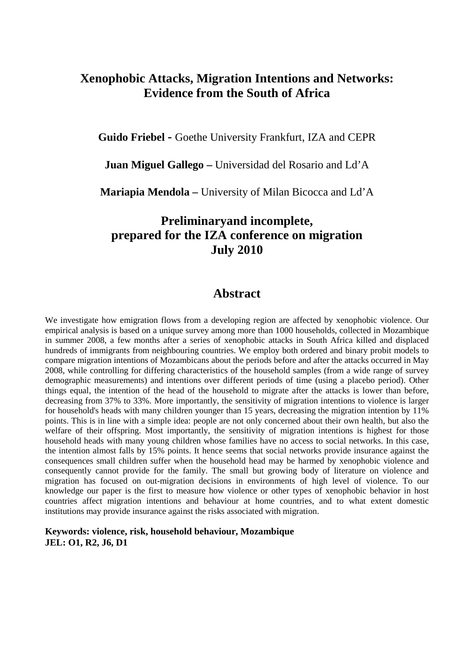# **Xenophobic Attacks, Migration Intentions and Networks: Evidence from the South of Africa**

**Guido Friebel -** Goethe University Frankfurt, IZA and CEPR

**Juan Miguel Gallego –** Universidad del Rosario and Ld'A

**Mariapia Mendola –** University of Milan Bicocca and Ld'A

# **Preliminaryand incomplete, prepared for the IZA conference on migration July 2010**

## **Abstract**

We investigate how emigration flows from a developing region are affected by xenophobic violence. Our empirical analysis is based on a unique survey among more than 1000 households, collected in Mozambique in summer 2008, a few months after a series of xenophobic attacks in South Africa killed and displaced hundreds of immigrants from neighbouring countries. We employ both ordered and binary probit models to compare migration intentions of Mozambicans about the periods before and after the attacks occurred in May 2008, while controlling for differing characteristics of the household samples (from a wide range of survey demographic measurements) and intentions over different periods of time (using a placebo period). Other things equal, the intention of the head of the household to migrate after the attacks is lower than before, decreasing from 37% to 33%. More importantly, the sensitivity of migration intentions to violence is larger for household's heads with many children younger than 15 years, decreasing the migration intention by 11% points. This is in line with a simple idea: people are not only concerned about their own health, but also the welfare of their offspring. Most importantly, the sensitivity of migration intentions is highest for those household heads with many young children whose families have no access to social networks. In this case, the intention almost falls by 15% points. It hence seems that social networks provide insurance against the consequences small children suffer when the household head may be harmed by xenophobic violence and consequently cannot provide for the family. The small but growing body of literature on violence and migration has focused on out-migration decisions in environments of high level of violence. To our knowledge our paper is the first to measure how violence or other types of xenophobic behavior in host countries affect migration intentions and behaviour at home countries, and to what extent domestic institutions may provide insurance against the risks associated with migration.

**Keywords: violence, risk, household behaviour, Mozambique JEL: O1, R2, J6, D1**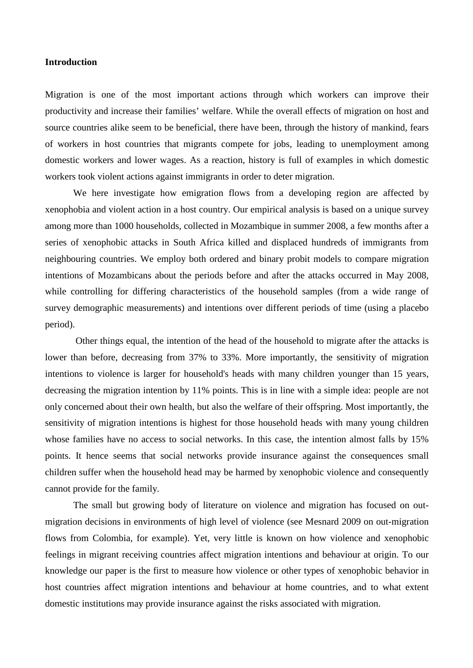### **Introduction**

Migration is one of the most important actions through which workers can improve their productivity and increase their families' welfare. While the overall effects of migration on host and source countries alike seem to be beneficial, there have been, through the history of mankind, fears of workers in host countries that migrants compete for jobs, leading to unemployment among domestic workers and lower wages. As a reaction, history is full of examples in which domestic workers took violent actions against immigrants in order to deter migration.

We here investigate how emigration flows from a developing region are affected by xenophobia and violent action in a host country. Our empirical analysis is based on a unique survey among more than 1000 households, collected in Mozambique in summer 2008, a few months after a series of xenophobic attacks in South Africa killed and displaced hundreds of immigrants from neighbouring countries. We employ both ordered and binary probit models to compare migration intentions of Mozambicans about the periods before and after the attacks occurred in May 2008, while controlling for differing characteristics of the household samples (from a wide range of survey demographic measurements) and intentions over different periods of time (using a placebo period).

Other things equal, the intention of the head of the household to migrate after the attacks is lower than before, decreasing from 37% to 33%. More importantly, the sensitivity of migration intentions to violence is larger for household's heads with many children younger than 15 years, decreasing the migration intention by 11% points. This is in line with a simple idea: people are not only concerned about their own health, but also the welfare of their offspring. Most importantly, the sensitivity of migration intentions is highest for those household heads with many young children whose families have no access to social networks. In this case, the intention almost falls by 15% points. It hence seems that social networks provide insurance against the consequences small children suffer when the household head may be harmed by xenophobic violence and consequently cannot provide for the family.

The small but growing body of literature on violence and migration has focused on outmigration decisions in environments of high level of violence (see Mesnard 2009 on out-migration flows from Colombia, for example). Yet, very little is known on how violence and xenophobic feelings in migrant receiving countries affect migration intentions and behaviour at origin. To our knowledge our paper is the first to measure how violence or other types of xenophobic behavior in host countries affect migration intentions and behaviour at home countries, and to what extent domestic institutions may provide insurance against the risks associated with migration.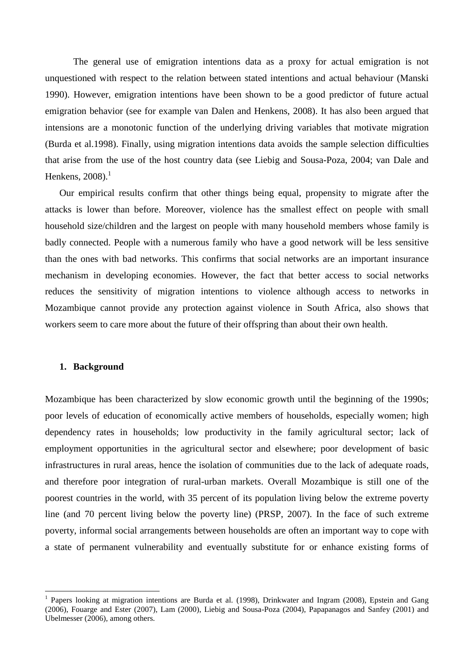The general use of emigration intentions data as a proxy for actual emigration is not unquestioned with respect to the relation between stated intentions and actual behaviour (Manski 1990). However, emigration intentions have been shown to be a good predictor of future actual emigration behavior (see for example van Dalen and Henkens, 2008). It has also been argued that intensions are a monotonic function of the underlying driving variables that motivate migration (Burda et al.1998). Finally, using migration intentions data avoids the sample selection difficulties that arise from the use of the host country data (see Liebig and Sousa-Poza, 2004; van Dale and Henkens,  $2008$ ).<sup>1</sup>

Our empirical results confirm that other things being equal, propensity to migrate after the attacks is lower than before. Moreover, violence has the smallest effect on people with small household size/children and the largest on people with many household members whose family is badly connected. People with a numerous family who have a good network will be less sensitive than the ones with bad networks. This confirms that social networks are an important insurance mechanism in developing economies. However, the fact that better access to social networks reduces the sensitivity of migration intentions to violence although access to networks in Mozambique cannot provide any protection against violence in South Africa, also shows that workers seem to care more about the future of their offspring than about their own health.

### **1. Background**

Mozambique has been characterized by slow economic growth until the beginning of the 1990s; poor levels of education of economically active members of households, especially women; high dependency rates in households; low productivity in the family agricultural sector; lack of employment opportunities in the agricultural sector and elsewhere; poor development of basic infrastructures in rural areas, hence the isolation of communities due to the lack of adequate roads, and therefore poor integration of rural-urban markets. Overall Mozambique is still one of the poorest countries in the world, with 35 percent of its population living below the extreme poverty line (and 70 percent living below the poverty line) (PRSP, 2007). In the face of such extreme poverty, informal social arrangements between households are often an important way to cope with a state of permanent vulnerability and eventually substitute for or enhance existing forms of

<sup>&</sup>lt;sup>1</sup> Papers looking at migration intentions are Burda et al. (1998), Drinkwater and Ingram (2008), Epstein and Gang (2006), Fouarge and Ester (2007), Lam (2000), Liebig and Sousa-Poza (2004), Papapanagos and Sanfey (2001) and Ubelmesser (2006), among others.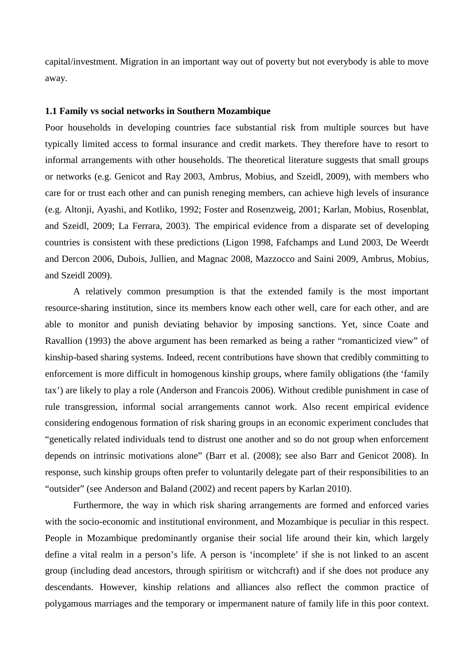capital/investment. Migration in an important way out of poverty but not everybody is able to move away.

#### **1.1 Family vs social networks in Southern Mozambique**

Poor households in developing countries face substantial risk from multiple sources but have typically limited access to formal insurance and credit markets. They therefore have to resort to informal arrangements with other households. The theoretical literature suggests that small groups or networks (e.g. Genicot and Ray 2003, Ambrus, Mobius, and Szeidl, 2009), with members who care for or trust each other and can punish reneging members, can achieve high levels of insurance (e.g. Altonji, Ayashi, and Kotliko, 1992; Foster and Rosenzweig, 2001; Karlan, Mobius, Rosenblat, and Szeidl, 2009; La Ferrara, 2003). The empirical evidence from a disparate set of developing countries is consistent with these predictions (Ligon 1998, Fafchamps and Lund 2003, De Weerdt and Dercon 2006, Dubois, Jullien, and Magnac 2008, Mazzocco and Saini 2009, Ambrus, Mobius, and Szeidl 2009).

A relatively common presumption is that the extended family is the most important resource-sharing institution, since its members know each other well, care for each other, and are able to monitor and punish deviating behavior by imposing sanctions. Yet, since Coate and Ravallion (1993) the above argument has been remarked as being a rather "romanticized view" of kinship-based sharing systems. Indeed, recent contributions have shown that credibly committing to enforcement is more difficult in homogenous kinship groups, where family obligations (the 'family tax') are likely to play a role (Anderson and Francois 2006). Without credible punishment in case of rule transgression, informal social arrangements cannot work. Also recent empirical evidence considering endogenous formation of risk sharing groups in an economic experiment concludes that "genetically related individuals tend to distrust one another and so do not group when enforcement depends on intrinsic motivations alone" (Barr et al. (2008); see also Barr and Genicot 2008). In response, such kinship groups often prefer to voluntarily delegate part of their responsibilities to an "outsider" (see Anderson and Baland (2002) and recent papers by Karlan 2010).

Furthermore, the way in which risk sharing arrangements are formed and enforced varies with the socio-economic and institutional environment, and Mozambique is peculiar in this respect. People in Mozambique predominantly organise their social life around their kin, which largely define a vital realm in a person's life. A person is 'incomplete' if she is not linked to an ascent group (including dead ancestors, through spiritism or witchcraft) and if she does not produce any descendants. However, kinship relations and alliances also reflect the common practice of polygamous marriages and the temporary or impermanent nature of family life in this poor context.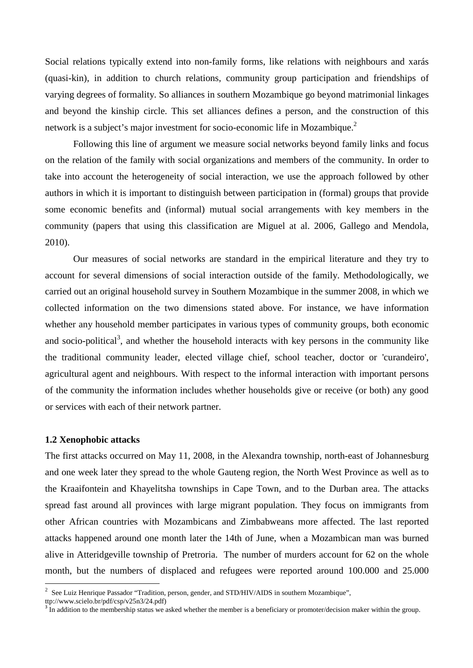Social relations typically extend into non-family forms, like relations with neighbours and xarás (quasi-kin), in addition to church relations, community group participation and friendships of varying degrees of formality. So alliances in southern Mozambique go beyond matrimonial linkages and beyond the kinship circle. This set alliances defines a person, and the construction of this network is a subject's major investment for socio-economic life in Mozambique.<sup>2</sup>

Following this line of argument we measure social networks beyond family links and focus on the relation of the family with social organizations and members of the community. In order to take into account the heterogeneity of social interaction, we use the approach followed by other authors in which it is important to distinguish between participation in (formal) groups that provide some economic benefits and (informal) mutual social arrangements with key members in the community (papers that using this classification are Miguel at al. 2006, Gallego and Mendola, 2010).

Our measures of social networks are standard in the empirical literature and they try to account for several dimensions of social interaction outside of the family. Methodologically, we carried out an original household survey in Southern Mozambique in the summer 2008, in which we collected information on the two dimensions stated above. For instance, we have information whether any household member participates in various types of community groups, both economic and socio-political<sup>3</sup>, and whether the household interacts with key persons in the community like the traditional community leader, elected village chief, school teacher, doctor or 'curandeiro', agricultural agent and neighbours. With respect to the informal interaction with important persons of the community the information includes whether households give or receive (or both) any good or services with each of their network partner.

#### **1.2 Xenophobic attacks**

The first attacks occurred on May 11, 2008, in the Alexandra township, north-east of Johannesburg and one week later they spread to the whole Gauteng region, the North West Province as well as to the Kraaifontein and Khayelitsha townships in Cape Town, and to the Durban area. The attacks spread fast around all provinces with large migrant population. They focus on immigrants from other African countries with Mozambicans and Zimbabweans more affected. The last reported attacks happened around one month later the 14th of June, when a Mozambican man was burned alive in Atteridgeville township of Pretroria. The number of murders account for 62 on the whole month, but the numbers of displaced and refugees were reported around 100.000 and 25.000

<sup>&</sup>lt;sup>2</sup> See Luiz Henrique Passador "Tradition, person, gender, and STD/HIV/AIDS in southern Mozambique",

ttp://www.scielo.br/pdf/csp/v25n3/24.pdf)

<sup>&</sup>lt;sup>3</sup> In addition to the membership status we asked whether the member is a beneficiary or promoter/decision maker within the group.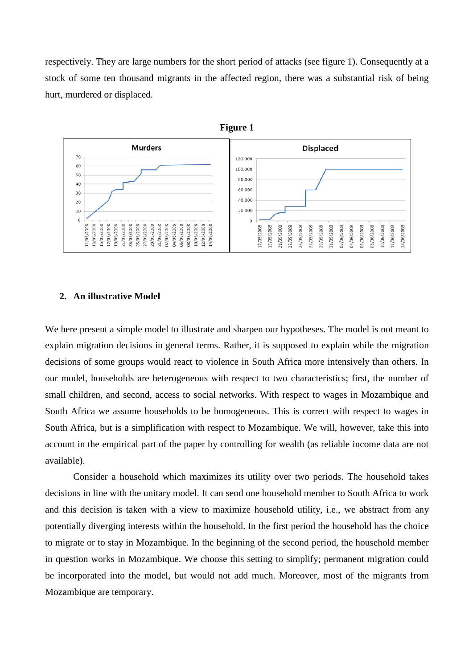respectively. They are large numbers for the short period of attacks (see figure 1). Consequently at a stock of some ten thousand migrants in the affected region, there was a substantial risk of being hurt, murdered or displaced.



#### **2. An illustrative Model**

We here present a simple model to illustrate and sharpen our hypotheses. The model is not meant to explain migration decisions in general terms. Rather, it is supposed to explain while the migration decisions of some groups would react to violence in South Africa more intensively than others. In our model, households are heterogeneous with respect to two characteristics; first, the number of small children, and second, access to social networks. With respect to wages in Mozambique and South Africa we assume households to be homogeneous. This is correct with respect to wages in South Africa, but is a simplification with respect to Mozambique. We will, however, take this into account in the empirical part of the paper by controlling for wealth (as reliable income data are not available).

Consider a household which maximizes its utility over two periods. The household takes decisions in line with the unitary model. It can send one household member to South Africa to work and this decision is taken with a view to maximize household utility, i.e., we abstract from any potentially diverging interests within the household. In the first period the household has the choice to migrate or to stay in Mozambique. In the beginning of the second period, the household member in question works in Mozambique. We choose this setting to simplify; permanent migration could be incorporated into the model, but would not add much. Moreover, most of the migrants from Mozambique are temporary.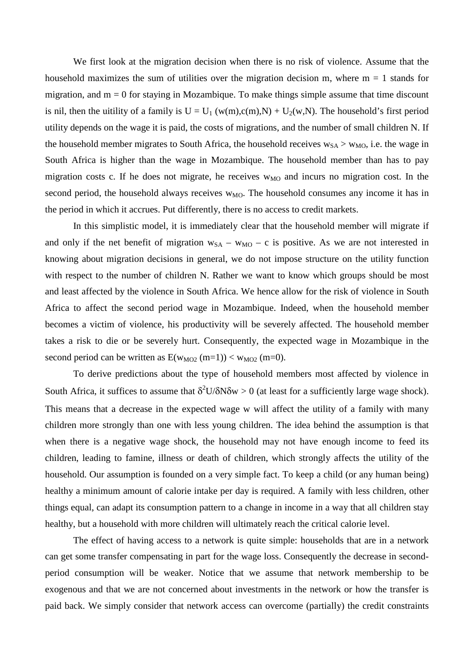We first look at the migration decision when there is no risk of violence. Assume that the household maximizes the sum of utilities over the migration decision m, where  $m = 1$  stands for migration, and  $m = 0$  for staying in Mozambique. To make things simple assume that time discount is nil, then the uitility of a family is  $U = U_1 (w(m), c(m), N) + U_2(w, N)$ . The household's first period utility depends on the wage it is paid, the costs of migrations, and the number of small children N. If the household member migrates to South Africa, the household receives  $w_{SA} > w_{MO}$ , i.e. the wage in South Africa is higher than the wage in Mozambique. The household member than has to pay migration costs c. If he does not migrate, he receives  $w_{MO}$  and incurs no migration cost. In the second period, the household always receives  $w_{MO}$ . The household consumes any income it has in the period in which it accrues. Put differently, there is no access to credit markets.

In this simplistic model, it is immediately clear that the household member will migrate if and only if the net benefit of migration  $w_{SA} - w_{MO} - c$  is positive. As we are not interested in knowing about migration decisions in general, we do not impose structure on the utility function with respect to the number of children N. Rather we want to know which groups should be most and least affected by the violence in South Africa. We hence allow for the risk of violence in South Africa to affect the second period wage in Mozambique. Indeed, when the household member becomes a victim of violence, his productivity will be severely affected. The household member takes a risk to die or be severely hurt. Consequently, the expected wage in Mozambique in the second period can be written as  $E(w_{MO2} (m=1)) < w_{MO2} (m=0)$ .

To derive predictions about the type of household members most affected by violence in South Africa, it suffices to assume that  $\delta^2 U/\delta N \delta w > 0$  (at least for a sufficiently large wage shock). This means that a decrease in the expected wage w will affect the utility of a family with many children more strongly than one with less young children. The idea behind the assumption is that when there is a negative wage shock, the household may not have enough income to feed its children, leading to famine, illness or death of children, which strongly affects the utility of the household. Our assumption is founded on a very simple fact. To keep a child (or any human being) healthy a minimum amount of calorie intake per day is required. A family with less children, other things equal, can adapt its consumption pattern to a change in income in a way that all children stay healthy, but a household with more children will ultimately reach the critical calorie level.

The effect of having access to a network is quite simple: households that are in a network can get some transfer compensating in part for the wage loss. Consequently the decrease in secondperiod consumption will be weaker. Notice that we assume that network membership to be exogenous and that we are not concerned about investments in the network or how the transfer is paid back. We simply consider that network access can overcome (partially) the credit constraints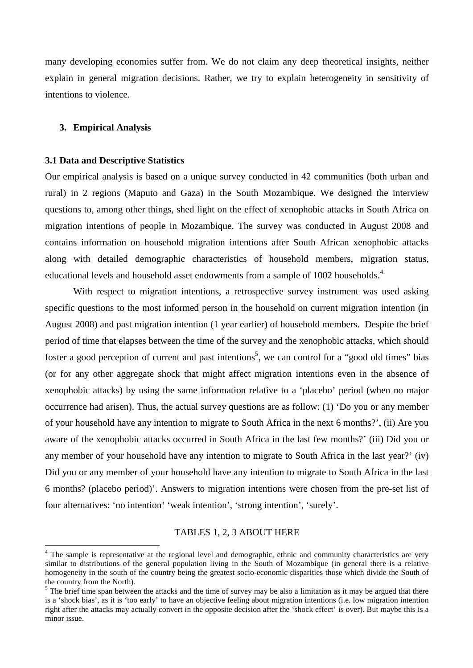many developing economies suffer from. We do not claim any deep theoretical insights, neither explain in general migration decisions. Rather, we try to explain heterogeneity in sensitivity of intentions to violence.

#### **3. Empirical Analysis**

#### **3.1 Data and Descriptive Statistics**

Our empirical analysis is based on a unique survey conducted in 42 communities (both urban and rural) in 2 regions (Maputo and Gaza) in the South Mozambique. We designed the interview questions to, among other things, shed light on the effect of xenophobic attacks in South Africa on migration intentions of people in Mozambique. The survey was conducted in August 2008 and contains information on household migration intentions after South African xenophobic attacks along with detailed demographic characteristics of household members, migration status, educational levels and household asset endowments from a sample of 1002 households.<sup>4</sup>

With respect to migration intentions, a retrospective survey instrument was used asking specific questions to the most informed person in the household on current migration intention (in August 2008) and past migration intention (1 year earlier) of household members. Despite the brief period of time that elapses between the time of the survey and the xenophobic attacks, which should foster a good perception of current and past intentions<sup>5</sup>, we can control for a "good old times" bias (or for any other aggregate shock that might affect migration intentions even in the absence of xenophobic attacks) by using the same information relative to a 'placebo' period (when no major occurrence had arisen). Thus, the actual survey questions are as follow: (1) 'Do you or any member of your household have any intention to migrate to South Africa in the next 6 months?', (ii) Are you aware of the xenophobic attacks occurred in South Africa in the last few months?' (iii) Did you or any member of your household have any intention to migrate to South Africa in the last year?' (iv) Did you or any member of your household have any intention to migrate to South Africa in the last 6 months? (placebo period)'. Answers to migration intentions were chosen from the pre-set list of four alternatives: 'no intention' 'weak intention', 'strong intention', 'surely'.

#### TABLES 1, 2, 3 ABOUT HERE

<sup>&</sup>lt;sup>4</sup> The sample is representative at the regional level and demographic, ethnic and community characteristics are very similar to distributions of the general population living in the South of Mozambique (in general there is a relative homogeneity in the south of the country being the greatest socio-economic disparities those which divide the South of the country from the North).<br><sup>5</sup> The brief time span between the attacks and the time of survey may be also a limitation as it may be argued that there

is a 'shock bias', as it is 'too early' to have an objective feeling about migration intentions (i.e. low migration intention right after the attacks may actually convert in the opposite decision after the 'shock effect' is over). But maybe this is a minor issue.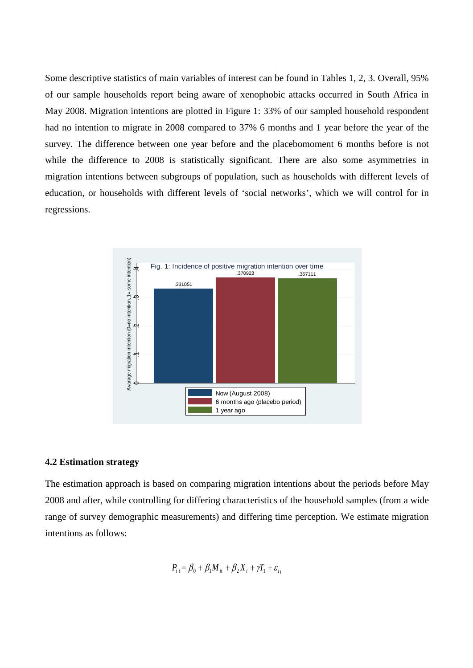Some descriptive statistics of main variables of interest can be found in Tables 1, 2, 3. Overall, 95% of our sample households report being aware of xenophobic attacks occurred in South Africa in May 2008. Migration intentions are plotted in Figure 1: 33% of our sampled household respondent had no intention to migrate in 2008 compared to 37% 6 months and 1 year before the year of the survey. The difference between one year before and the placebomoment 6 months before is not while the difference to 2008 is statistically significant. There are also some asymmetries in migration intentions between subgroups of population, such as households with different levels of education, or households with different levels of 'social networks', which we will control for in regressions.



#### **4.2 Estimation strategy**

The estimation approach is based on comparing migration intentions about the periods before May 2008 and after, while controlling for differing characteristics of the household samples (from a wide range of survey demographic measurements) and differing time perception. We estimate migration intentions as follows:

$$
P_{i t} = \beta_0 + \beta_1 M_{it} + \beta_2 X_i + \gamma T_1 + \varepsilon_{i t}
$$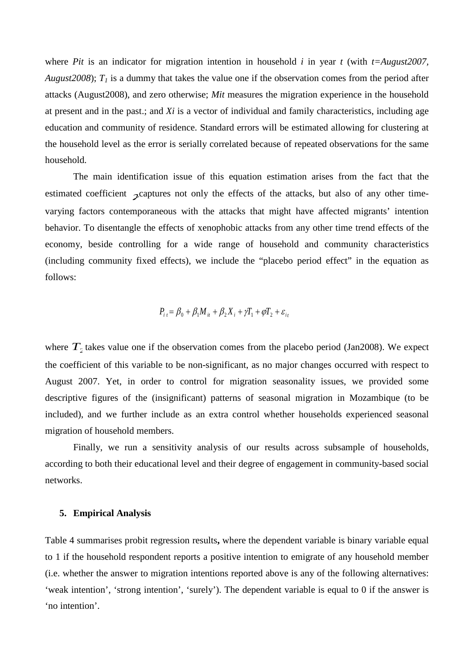where *Pit* is an indicator for migration intention in household *i* in year *t* (with *t*=*August2007, August2008*);  $T_1$  is a dummy that takes the value one if the observation comes from the period after attacks (August2008), and zero otherwise; *Mit* measures the migration experience in the household at present and in the past.; and *Xi* is a vector of individual and family characteristics, including age education and community of residence. Standard errors will be estimated allowing for clustering at the household level as the error is serially correlated because of repeated observations for the same household.

The main identification issue of this equation estimation arises from the fact that the estimated coefficient  $\chi$  captures not only the effects of the attacks, but also of any other timevarying factors contemporaneous with the attacks that might have affected migrants' intention behavior. To disentangle the effects of xenophobic attacks from any other time trend effects of the economy, beside controlling for a wide range of household and community characteristics (including community fixed effects), we include the "placebo period effect" in the equation as follows:

$$
P_{i t} = \beta_0 + \beta_1 M_{it} + \beta_2 X_i + \gamma T_1 + \varphi T_2 + \varepsilon_{it}
$$

where  $T<sub>2</sub>$  takes value one if the observation comes from the placebo period (Jan2008). We expect the coefficient of this variable to be non-significant, as no major changes occurred with respect to August 2007. Yet, in order to control for migration seasonality issues, we provided some descriptive figures of the (insignificant) patterns of seasonal migration in Mozambique (to be included), and we further include as an extra control whether households experienced seasonal migration of household members.

Finally, we run a sensitivity analysis of our results across subsample of households, according to both their educational level and their degree of engagement in community-based social networks.

## **5. Empirical Analysis**

Table 4 summarises probit regression results**,** where the dependent variable is binary variable equal to 1 if the household respondent reports a positive intention to emigrate of any household member (i.e. whether the answer to migration intentions reported above is any of the following alternatives: 'weak intention', 'strong intention', 'surely'). The dependent variable is equal to 0 if the answer is 'no intention'.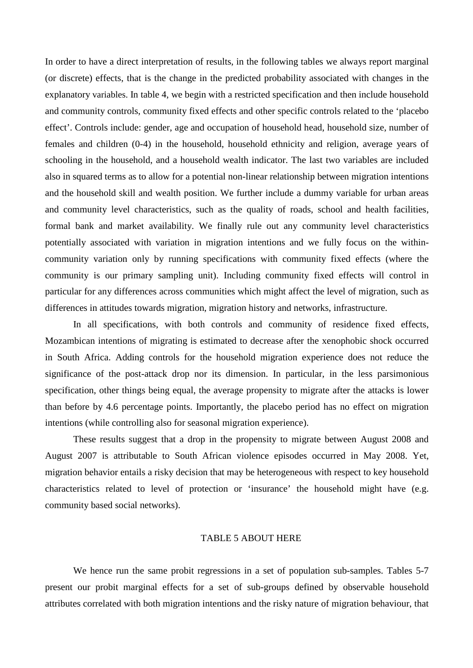In order to have a direct interpretation of results, in the following tables we always report marginal (or discrete) effects, that is the change in the predicted probability associated with changes in the explanatory variables. In table 4, we begin with a restricted specification and then include household and community controls, community fixed effects and other specific controls related to the 'placebo effect'. Controls include: gender, age and occupation of household head, household size, number of females and children (0-4) in the household, household ethnicity and religion, average years of schooling in the household, and a household wealth indicator. The last two variables are included also in squared terms as to allow for a potential non-linear relationship between migration intentions and the household skill and wealth position. We further include a dummy variable for urban areas and community level characteristics, such as the quality of roads, school and health facilities, formal bank and market availability. We finally rule out any community level characteristics potentially associated with variation in migration intentions and we fully focus on the withincommunity variation only by running specifications with community fixed effects (where the community is our primary sampling unit). Including community fixed effects will control in particular for any differences across communities which might affect the level of migration, such as differences in attitudes towards migration, migration history and networks, infrastructure.

In all specifications, with both controls and community of residence fixed effects, Mozambican intentions of migrating is estimated to decrease after the xenophobic shock occurred in South Africa. Adding controls for the household migration experience does not reduce the significance of the post-attack drop nor its dimension. In particular, in the less parsimonious specification, other things being equal, the average propensity to migrate after the attacks is lower than before by 4.6 percentage points. Importantly, the placebo period has no effect on migration intentions (while controlling also for seasonal migration experience).

These results suggest that a drop in the propensity to migrate between August 2008 and August 2007 is attributable to South African violence episodes occurred in May 2008. Yet, migration behavior entails a risky decision that may be heterogeneous with respect to key household characteristics related to level of protection or 'insurance' the household might have (e.g. community based social networks).

## TABLE 5 ABOUT HERE

We hence run the same probit regressions in a set of population sub-samples. Tables 5-7 present our probit marginal effects for a set of sub-groups defined by observable household attributes correlated with both migration intentions and the risky nature of migration behaviour, that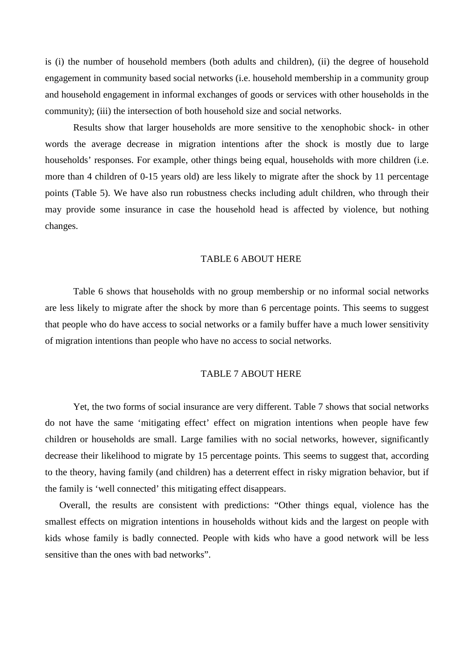is (i) the number of household members (both adults and children), (ii) the degree of household engagement in community based social networks (i.e. household membership in a community group and household engagement in informal exchanges of goods or services with other households in the community); (iii) the intersection of both household size and social networks.

Results show that larger households are more sensitive to the xenophobic shock- in other words the average decrease in migration intentions after the shock is mostly due to large households' responses. For example, other things being equal, households with more children (i.e. more than 4 children of 0-15 years old) are less likely to migrate after the shock by 11 percentage points (Table 5). We have also run robustness checks including adult children, who through their may provide some insurance in case the household head is affected by violence, but nothing changes.

## TABLE 6 ABOUT HERE

Table 6 shows that households with no group membership or no informal social networks are less likely to migrate after the shock by more than 6 percentage points. This seems to suggest that people who do have access to social networks or a family buffer have a much lower sensitivity of migration intentions than people who have no access to social networks.

#### TABLE 7 ABOUT HERE

Yet, the two forms of social insurance are very different. Table 7 shows that social networks do not have the same 'mitigating effect' effect on migration intentions when people have few children or households are small. Large families with no social networks, however, significantly decrease their likelihood to migrate by 15 percentage points. This seems to suggest that, according to the theory, having family (and children) has a deterrent effect in risky migration behavior, but if the family is 'well connected' this mitigating effect disappears.

Overall, the results are consistent with predictions: "Other things equal, violence has the smallest effects on migration intentions in households without kids and the largest on people with kids whose family is badly connected. People with kids who have a good network will be less sensitive than the ones with bad networks".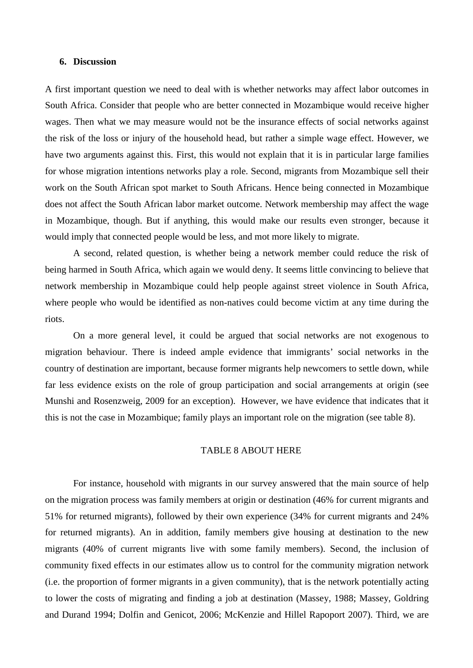### **6. Discussion**

A first important question we need to deal with is whether networks may affect labor outcomes in South Africa. Consider that people who are better connected in Mozambique would receive higher wages. Then what we may measure would not be the insurance effects of social networks against the risk of the loss or injury of the household head, but rather a simple wage effect. However, we have two arguments against this. First, this would not explain that it is in particular large families for whose migration intentions networks play a role. Second, migrants from Mozambique sell their work on the South African spot market to South Africans. Hence being connected in Mozambique does not affect the South African labor market outcome. Network membership may affect the wage in Mozambique, though. But if anything, this would make our results even stronger, because it would imply that connected people would be less, and mot more likely to migrate.

A second, related question, is whether being a network member could reduce the risk of being harmed in South Africa, which again we would deny. It seems little convincing to believe that network membership in Mozambique could help people against street violence in South Africa, where people who would be identified as non-natives could become victim at any time during the riots.

On a more general level, it could be argued that social networks are not exogenous to migration behaviour. There is indeed ample evidence that immigrants' social networks in the country of destination are important, because former migrants help newcomers to settle down, while far less evidence exists on the role of group participation and social arrangements at origin (see Munshi and Rosenzweig, 2009 for an exception). However, we have evidence that indicates that it this is not the case in Mozambique; family plays an important role on the migration (see table 8).

## TABLE 8 ABOUT HERE

For instance, household with migrants in our survey answered that the main source of help on the migration process was family members at origin or destination (46% for current migrants and 51% for returned migrants), followed by their own experience (34% for current migrants and 24% for returned migrants). An in addition, family members give housing at destination to the new migrants (40% of current migrants live with some family members). Second, the inclusion of community fixed effects in our estimates allow us to control for the community migration network (i.e. the proportion of former migrants in a given community), that is the network potentially acting to lower the costs of migrating and finding a job at destination (Massey, 1988; Massey, Goldring and Durand 1994; Dolfin and Genicot, 2006; McKenzie and Hillel Rapoport 2007). Third, we are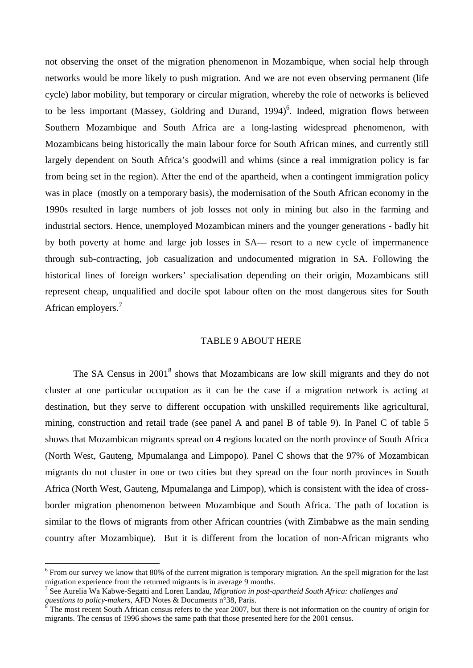not observing the onset of the migration phenomenon in Mozambique, when social help through networks would be more likely to push migration. And we are not even observing permanent (life cycle) labor mobility, but temporary or circular migration, whereby the role of networks is believed to be less important (Massey, Goldring and Durand, 1994)<sup>6</sup>. Indeed, migration flows between Southern Mozambique and South Africa are a long-lasting widespread phenomenon, with Mozambicans being historically the main labour force for South African mines, and currently still largely dependent on South Africa's goodwill and whims (since a real immigration policy is far from being set in the region). After the end of the apartheid, when a contingent immigration policy was in place (mostly on a temporary basis), the modernisation of the South African economy in the 1990s resulted in large numbers of job losses not only in mining but also in the farming and industrial sectors. Hence, unemployed Mozambican miners and the younger generations - badly hit by both poverty at home and large job losses in SA— resort to a new cycle of impermanence through sub-contracting, job casualization and undocumented migration in SA. Following the historical lines of foreign workers' specialisation depending on their origin, Mozambicans still represent cheap, unqualified and docile spot labour often on the most dangerous sites for South African employers.<sup>7</sup>

#### TABLE 9 ABOUT HERE

The SA Census in 2001<sup>8</sup> shows that Mozambicans are low skill migrants and they do not cluster at one particular occupation as it can be the case if a migration network is acting at destination, but they serve to different occupation with unskilled requirements like agricultural, mining, construction and retail trade (see panel A and panel B of table 9). In Panel C of table 5 shows that Mozambican migrants spread on 4 regions located on the north province of South Africa (North West, Gauteng, Mpumalanga and Limpopo). Panel C shows that the 97% of Mozambican migrants do not cluster in one or two cities but they spread on the four north provinces in South Africa (North West, Gauteng, Mpumalanga and Limpop), which is consistent with the idea of crossborder migration phenomenon between Mozambique and South Africa. The path of location is similar to the flows of migrants from other African countries (with Zimbabwe as the main sending country after Mozambique). But it is different from the location of non-African migrants who

 $6$  From our survey we know that 80% of the current migration is temporary migration. An the spell migration for the last migration experience from the returned migrants is in average 9 months.

<sup>&</sup>lt;sup>7</sup> See Aurelia Wa Kabwe-Segatti and Loren Landau, *Migration in post-apartheid South Africa: challenges and questions to policy-makers, AFD Notes & Documents n°38, Paris.* 

 $\delta$  The most recent South African census refers to the year 2007, but there is not information on the country of origin for migrants. The census of 1996 shows the same path that those presented here for the 2001 census.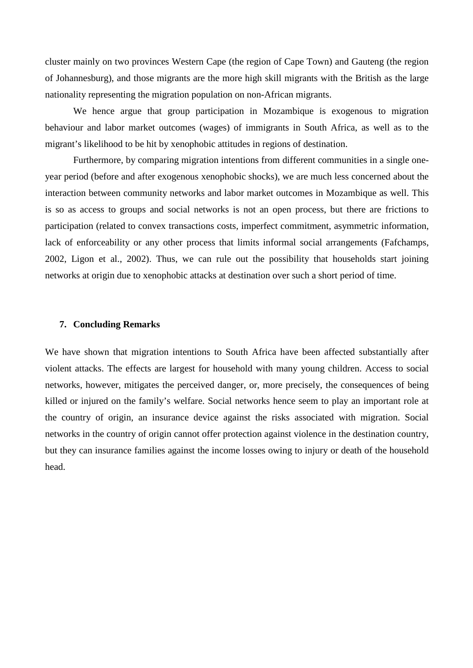cluster mainly on two provinces Western Cape (the region of Cape Town) and Gauteng (the region of Johannesburg), and those migrants are the more high skill migrants with the British as the large nationality representing the migration population on non-African migrants.

We hence argue that group participation in Mozambique is exogenous to migration behaviour and labor market outcomes (wages) of immigrants in South Africa, as well as to the migrant's likelihood to be hit by xenophobic attitudes in regions of destination.

Furthermore, by comparing migration intentions from different communities in a single oneyear period (before and after exogenous xenophobic shocks), we are much less concerned about the interaction between community networks and labor market outcomes in Mozambique as well. This is so as access to groups and social networks is not an open process, but there are frictions to participation (related to convex transactions costs, imperfect commitment, asymmetric information, lack of enforceability or any other process that limits informal social arrangements (Fafchamps, 2002, Ligon et al., 2002). Thus, we can rule out the possibility that households start joining networks at origin due to xenophobic attacks at destination over such a short period of time.

### **7. Concluding Remarks**

We have shown that migration intentions to South Africa have been affected substantially after violent attacks. The effects are largest for household with many young children. Access to social networks, however, mitigates the perceived danger, or, more precisely, the consequences of being killed or injured on the family's welfare. Social networks hence seem to play an important role at the country of origin, an insurance device against the risks associated with migration. Social networks in the country of origin cannot offer protection against violence in the destination country, but they can insurance families against the income losses owing to injury or death of the household head.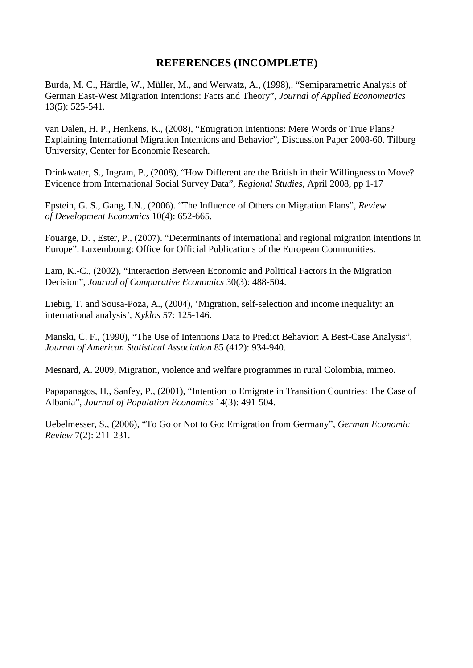## **REFERENCES (INCOMPLETE)**

Burda, M. C., Härdle, W., Müller, M., and Werwatz, A., (1998),. "Semiparametric Analysis of German East-West Migration Intentions: Facts and Theory", *Journal of Applied Econometrics* 13(5): 525-541.

van Dalen, H. P., Henkens, K., (2008), "Emigration Intentions: Mere Words or True Plans? Explaining International Migration Intentions and Behavior", [Discussion Paper](http://ideas.repec.org/s/dgr/kubcen.html) 2008-60, Tilburg University, Center for Economic Research.

Drinkwater, S., Ingram, P., (2008), "How Different are the British in their Willingness to Move? Evidence from International Social Survey Data", *Regional Studies*, April 2008, pp 1-17

Epstein, G. S., Gang, I.N., (2006). "The Influence of Others on Migration Plans", *Review of Development Economics* 10(4): 652-665.

Fouarge, D. , Ester, P., (2007). "Determinants of international and regional migration intentions in Europe". Luxembourg: Office for Official Publications of the European Communities.

Lam, K.-C., (2002), "Interaction Between Economic and Political Factors in the Migration Decision", *Journal of Comparative Economics* 30(3): 488-504.

Liebig, T. and Sousa-Poza, A., (2004), 'Migration, self-selection and income inequality: an international analysis', *Kyklos* 57: 125-146.

Manski, C. F., (1990), "The Use of Intentions Data to Predict Behavior: A Best-Case Analysis", *Journal of American Statistical Association* 85 (412): 934-940.

Mesnard, A. 2009, Migration, violence and welfare programmes in rural Colombia, mimeo.

Papapanagos, H., Sanfey, P., (2001), "Intention to Emigrate in Transition Countries: The Case of Albania", *Journal of Population Economics* 14(3): 491-504.

Uebelmesser, S., (2006), "To Go or Not to Go: Emigration from Germany", *German Economic Review* 7(2): 211-231.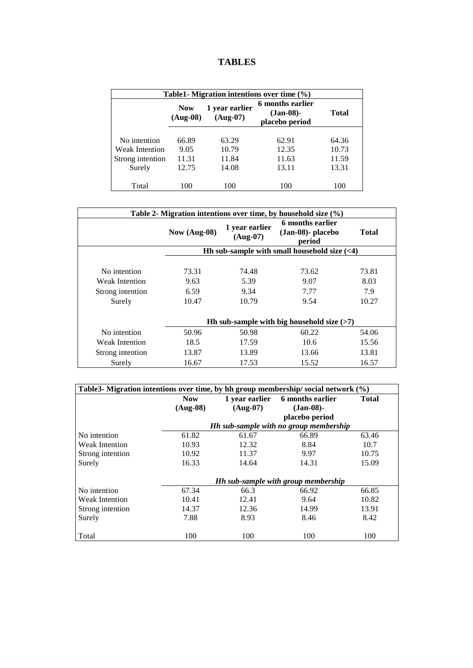|  |  | <b>TABLES</b> |
|--|--|---------------|
|--|--|---------------|

| Table1- Migration intentions over time $(\% )$ |                          |                              |                                                    |              |
|------------------------------------------------|--------------------------|------------------------------|----------------------------------------------------|--------------|
|                                                | <b>Now</b><br>$(Aug-08)$ | 1 year earlier<br>$(Aug-07)$ | 6 months earlier<br>$(Jan-08)$ -<br>placebo period | <b>Total</b> |
| No intention                                   | 66.89                    | 63.29                        | 62.91                                              | 64.36        |
| <b>Weak Intention</b>                          | 9.05                     | 10.79                        | 12.35                                              | 10.73        |
| Strong intention                               | 11.31                    | 11.84                        | 11.63                                              | 11.59        |
| Surely                                         | 12.75                    | 14.08                        | 13.11                                              | 13.31        |
| Total                                          | 100                      | 100                          | 100                                                | 100          |

| Table 2- Migration intentions over time, by household size $(\%)$   |                                |                                |                                                 |                               |  |  |  |
|---------------------------------------------------------------------|--------------------------------|--------------------------------|-------------------------------------------------|-------------------------------|--|--|--|
|                                                                     | Now (Aug-08)                   | 1 year earlier<br>$(Aug-07)$   | 6 months earlier<br>(Jan-08)- placebo<br>period | Total                         |  |  |  |
|                                                                     |                                |                                | Hh sub-sample with small household size $(<4)$  |                               |  |  |  |
| No intention<br><b>Weak Intention</b><br>Strong intention<br>Surely | 73.31<br>9.63<br>6.59<br>10.47 | 74.48<br>5.39<br>9.34<br>10.79 | 73.62<br>9.07<br>7.77<br>9.54                   | 73.81<br>8.03<br>7.9<br>10.27 |  |  |  |
| Hh sub-sample with big household size $(>7)$                        |                                |                                |                                                 |                               |  |  |  |
| No intention                                                        | 50.96                          | 50.98                          | 60.22                                           | 54.06                         |  |  |  |
| <b>Weak Intention</b>                                               | 18.5                           | 17.59                          | 10.6                                            | 15.56                         |  |  |  |
| Strong intention                                                    | 13.87                          | 13.89                          | 13.66                                           | 13.81                         |  |  |  |
| Surely                                                              | 16.67                          | 17.53                          | 15.52                                           | 16.57                         |  |  |  |

| Table3- Migration intentions over time, by hh group membership/social network (%) |            |                |                                        |              |  |  |
|-----------------------------------------------------------------------------------|------------|----------------|----------------------------------------|--------------|--|--|
|                                                                                   | <b>Now</b> | 1 year earlier | 6 months earlier                       | <b>Total</b> |  |  |
|                                                                                   | $(Auq-08)$ | $(Aug-07)$     | $(Jan-08)$ -                           |              |  |  |
|                                                                                   |            |                | placebo period                         |              |  |  |
|                                                                                   |            |                | Hh sub-sample with no group membership |              |  |  |
| No intention                                                                      | 61.82      | 61.67          | 66.89                                  | 63.46        |  |  |
| <b>Weak Intention</b>                                                             | 10.93      | 12.32          | 8.84                                   | 10.7         |  |  |
| Strong intention                                                                  | 10.92      | 11.37          | 9.97                                   | 10.75        |  |  |
| Surely                                                                            | 16.33      | 14.64          | 14.31                                  | 15.09        |  |  |
|                                                                                   |            |                |                                        |              |  |  |
|                                                                                   |            |                | Hh sub-sample with group membership    |              |  |  |
| No intention                                                                      | 67.34      | 66.3           | 66.92                                  | 66.85        |  |  |
| Weak Intention                                                                    | 10.41      | 12.41          | 9.64                                   | 10.82        |  |  |
| Strong intention                                                                  | 14.37      | 12.36          | 14.99                                  | 13.91        |  |  |
| Surely                                                                            | 7.88       | 8.93           | 8.46                                   | 8.42         |  |  |
|                                                                                   |            |                |                                        |              |  |  |
| Total                                                                             | 100        | 100            | 100                                    | 100          |  |  |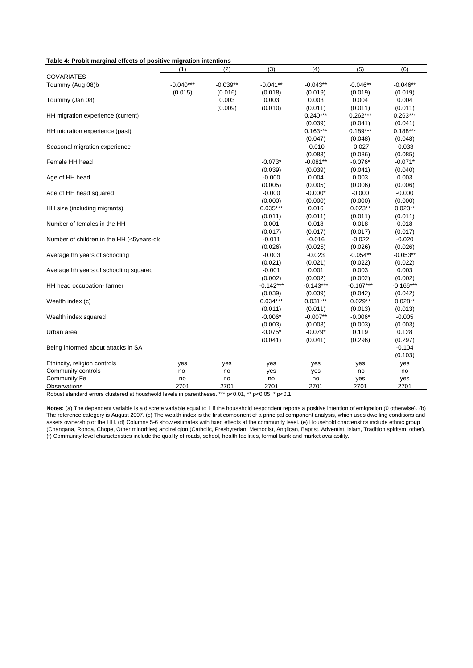| Table 4: Probit marginal effects of positive migration intentions |  |
|-------------------------------------------------------------------|--|
|-------------------------------------------------------------------|--|

|                                           | (1)         | (2)        | (3)         | (4)         | (5)         | (6)         |
|-------------------------------------------|-------------|------------|-------------|-------------|-------------|-------------|
| <b>COVARIATES</b>                         |             |            |             |             |             |             |
| Tdummy (Aug 08)b                          | $-0.040***$ | $-0.039**$ | $-0.041**$  | $-0.043**$  | $-0.046**$  | $-0.046**$  |
|                                           | (0.015)     | (0.016)    | (0.018)     | (0.019)     | (0.019)     | (0.019)     |
| Tdummy (Jan 08)                           |             | 0.003      | 0.003       | 0.003       | 0.004       | 0.004       |
|                                           |             | (0.009)    | (0.010)     | (0.011)     | (0.011)     | (0.011)     |
| HH migration experience (current)         |             |            |             | $0.240***$  | $0.262***$  | $0.263***$  |
|                                           |             |            |             | (0.039)     | (0.041)     | (0.041)     |
| HH migration experience (past)            |             |            |             | $0.163***$  | $0.189***$  | $0.188***$  |
|                                           |             |            |             | (0.047)     | (0.048)     | (0.048)     |
| Seasonal migration experience             |             |            |             | $-0.010$    | $-0.027$    | $-0.033$    |
|                                           |             |            |             | (0.083)     | (0.086)     | (0.085)     |
| Female HH head                            |             |            | $-0.073*$   | $-0.081**$  | $-0.076*$   | $-0.071*$   |
|                                           |             |            | (0.039)     | (0.039)     | (0.041)     | (0.040)     |
| Age of HH head                            |             |            | $-0.000$    | 0.004       | 0.003       | 0.003       |
|                                           |             |            | (0.005)     | (0.005)     | (0.006)     | (0.006)     |
| Age of HH head squared                    |             |            | $-0.000$    | $-0.000*$   | $-0.000$    | $-0.000$    |
|                                           |             |            | (0.000)     | (0.000)     | (0.000)     | (0.000)     |
| HH size (including migrants)              |             |            | $0.035***$  | 0.016       | $0.023**$   | $0.023**$   |
|                                           |             |            | (0.011)     | (0.011)     | (0.011)     | (0.011)     |
| Number of females in the HH               |             |            | 0.001       | 0.018       | 0.018       | 0.018       |
|                                           |             |            | (0.017)     | (0.017)     | (0.017)     | (0.017)     |
| Number of children in the HH (<5years-old |             |            | $-0.011$    | $-0.016$    | $-0.022$    | $-0.020$    |
|                                           |             |            | (0.026)     | (0.025)     | (0.026)     | (0.026)     |
| Average hh years of schooling             |             |            | $-0.003$    | $-0.023$    | $-0.054**$  | $-0.053**$  |
|                                           |             |            | (0.021)     | (0.021)     | (0.022)     | (0.022)     |
| Average hh years of schooling squared     |             |            | $-0.001$    | 0.001       | 0.003       | 0.003       |
|                                           |             |            | (0.002)     | (0.002)     | (0.002)     | (0.002)     |
| HH head occupation- farmer                |             |            | $-0.142***$ | $-0.143***$ | $-0.167***$ | $-0.166***$ |
|                                           |             |            | (0.039)     | (0.039)     | (0.042)     | (0.042)     |
| Wealth index (c)                          |             |            | $0.034***$  | $0.031***$  | $0.029**$   | $0.028**$   |
|                                           |             |            | (0.011)     | (0.011)     | (0.013)     | (0.013)     |
| Wealth index squared                      |             |            | $-0.006*$   | $-0.007**$  | $-0.006*$   | $-0.005$    |
|                                           |             |            | (0.003)     | (0.003)     | (0.003)     | (0.003)     |
| Urban area                                |             |            | $-0.075*$   | $-0.079*$   | 0.119       | 0.128       |
|                                           |             |            | (0.041)     | (0.041)     | (0.296)     | (0.297)     |
| Being informed about attacks in SA        |             |            |             |             |             | $-0.104$    |
|                                           |             |            |             |             |             | (0.103)     |
| Ethincity, religion controls              | yes         | yes        | yes         | yes         | yes         | yes         |
| Community controls                        | no          | no         | yes         | yes         | no          | no          |
| <b>Community Fe</b>                       | no          | no         | no          | no          | yes         | yes         |
| Observations                              | 2701        | 2701       | 2701        | 2701        | 2701        | 2701        |

Robust standard errors clustered at housheold levels in parentheses. \*\*\* p<0.01, \*\* p<0.05, \* p<0.1

**Notes:** (a) The dependent variable is a discrete variable equal to 1 if the household respondent reports a positive intention of emigration (0 otherwise). (b) The reference category is August 2007. (c) The wealth index is the first component of a principal component analysis, which uses dwelling conditions and assets ownership of the HH. (d) Columns 5-6 show estimates with fixed effects at the community level. (e) Household chacteristics include ethnic group (Changana, Ronga, Chope, Other minorities) and religion (Catholic, Presbyterian, Methodist, Anglican, Baptist, Adventist, Islam, Tradition spiritsm, other). (f) Community level characteristics include the quality of roads, school, health facilities, formal bank and market availability.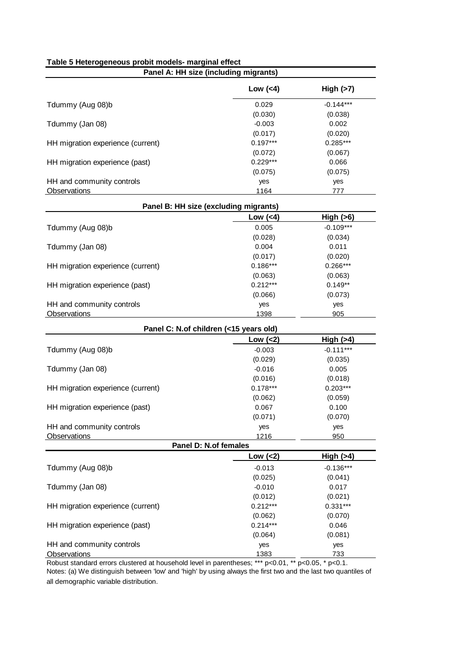| Panel A: HH size (including migrants)  |              |             |  |  |  |
|----------------------------------------|--------------|-------------|--|--|--|
|                                        | Low $(4)$    | High $(>7)$ |  |  |  |
| Tdummy (Aug 08)b                       | 0.029        | $-0.144***$ |  |  |  |
|                                        | (0.030)      | (0.038)     |  |  |  |
| Tdummy (Jan 08)                        | $-0.003$     | 0.002       |  |  |  |
|                                        | (0.017)      | (0.020)     |  |  |  |
| HH migration experience (current)      | $0.197***$   | 0.285***    |  |  |  |
|                                        | (0.072)      | (0.067)     |  |  |  |
| HH migration experience (past)         | $0.229***$   | 0.066       |  |  |  |
|                                        | (0.075)      | (0.075)     |  |  |  |
| HH and community controls              | yes          | yes         |  |  |  |
| <b>Observations</b>                    | 1164         | 777         |  |  |  |
| Panel B: HH size (excluding migrants)  |              |             |  |  |  |
|                                        | Low $(4)$    | High (>6)   |  |  |  |
| Tdummy (Aug 08)b                       | 0.005        | $-0.109***$ |  |  |  |
|                                        | (0.028)      | (0.034)     |  |  |  |
| Tdummy (Jan 08)                        | 0.004        | 0.011       |  |  |  |
|                                        | (0.017)      | (0.020)     |  |  |  |
| HH migration experience (current)      | $0.186***$   | $0.266***$  |  |  |  |
|                                        | (0.063)      | (0.063)     |  |  |  |
| HH migration experience (past)         | $0.212***$   | $0.149**$   |  |  |  |
|                                        | (0.066)      | (0.073)     |  |  |  |
| HH and community controls              | yes          | yes         |  |  |  |
| Observations                           | 1398         | 905         |  |  |  |
| Panel C: N.of children (<15 years old) |              |             |  |  |  |
|                                        | Low $(2)$    | High $(>4)$ |  |  |  |
| Tdummy (Aug 08)b                       | $-0.003$     | $-0.111***$ |  |  |  |
|                                        | (0.029)      | (0.035)     |  |  |  |
| Tdummy (Jan 08)                        | $-0.016$     | 0.005       |  |  |  |
|                                        | (0.016)      | (0.018)     |  |  |  |
| HH migration experience (current)      | $0.178***$   | $0.203***$  |  |  |  |
|                                        | (0.062)      | (0.059)     |  |  |  |
| HH migration experience (past)         | 0.067        | 0.100       |  |  |  |
|                                        | (0.071)      | (0.070)     |  |  |  |
| HH and community controls              | yes          | yes         |  |  |  |
| Observations                           | 1216         | 950         |  |  |  |
| Panel D: N.of females                  |              |             |  |  |  |
|                                        | $Low$ $(<2)$ | High (>4)   |  |  |  |
| Tdummy (Aug 08)b                       | $-0.013$     | $-0.136***$ |  |  |  |
|                                        | (0.025)      | (0.041)     |  |  |  |
| Tdummy (Jan 08)                        | $-0.010$     | 0.017       |  |  |  |
|                                        | (0.012)      | (0.021)     |  |  |  |
| HH migration experience (current)      | $0.212***$   | $0.331***$  |  |  |  |
|                                        | (0.062)      | (0.070)     |  |  |  |
| HH migration experience (past)         | $0.214***$   | 0.046       |  |  |  |
|                                        | (0.064)      | (0.081)     |  |  |  |
| HH and community controls              | yes          | yes         |  |  |  |
| <b>Observations</b>                    | 1383         | 733         |  |  |  |

**Table 5 Heterogeneous probit models- marginal effect**

Robust standard errors clustered at household level in parentheses; \*\*\* p<0.01, \*\* p<0.05, \* p<0.1. Notes: (a) We distinguish between 'low' and 'high' by using always the first two and the last two quantiles of all demographic variable distribution.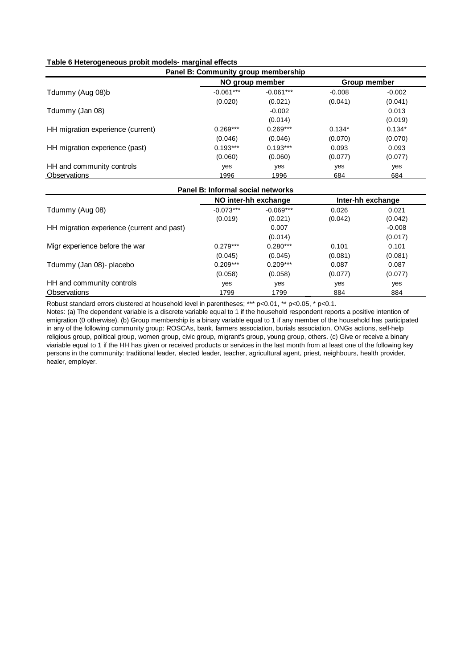|  | Table 6 Heterogeneous probit models- marginal effects |
|--|-------------------------------------------------------|
|--|-------------------------------------------------------|

| Panel B: Community group membership |             |                 |          |              |  |  |
|-------------------------------------|-------------|-----------------|----------|--------------|--|--|
|                                     |             | NO group member |          | Group member |  |  |
| Tdummy (Aug 08)b                    | $-0.061***$ | $-0.061***$     | $-0.008$ | $-0.002$     |  |  |
|                                     | (0.020)     | (0.021)         | (0.041)  | (0.041)      |  |  |
| Tdummy (Jan 08)                     |             | $-0.002$        |          | 0.013        |  |  |
|                                     |             | (0.014)         |          | (0.019)      |  |  |
| HH migration experience (current)   | $0.269***$  | $0.269***$      | $0.134*$ | $0.134*$     |  |  |
|                                     | (0.046)     | (0.046)         | (0.070)  | (0.070)      |  |  |
| HH migration experience (past)      | $0.193***$  | $0.193***$      | 0.093    | 0.093        |  |  |
|                                     | (0.060)     | (0.060)         | (0.077)  | (0.077)      |  |  |
| HH and community controls           | yes         | yes             | yes      | yes          |  |  |
| Observations                        | 1996        | 1996            | 684      | 684          |  |  |

#### **Panel B: Informal social networks**

|                                            | NO inter-hh exchange   |                        | Inter-hh exchange |                  |
|--------------------------------------------|------------------------|------------------------|-------------------|------------------|
| Tdummy (Aug 08)                            | $-0.073***$<br>(0.019) | $-0.069***$<br>(0.021) | 0.026<br>(0.042)  | 0.021<br>(0.042) |
| HH migration experience (current and past) |                        | 0.007                  |                   | $-0.008$         |
|                                            |                        | (0.014)                |                   | (0.017)          |
| Migr experience before the war             | $0.279***$             | $0.280***$             | 0.101             | 0.101            |
|                                            | (0.045)                | (0.045)                | (0.081)           | (0.081)          |
| Tdummy (Jan 08)- placebo                   | $0.209***$             | $0.209***$             | 0.087             | 0.087            |
|                                            | (0.058)                | (0.058)                | (0.077)           | (0.077)          |
| HH and community controls                  | yes                    | yes                    | yes               | yes              |
| Observations                               | 1799                   | 1799                   | 884               | 884              |

Robust standard errors clustered at household level in parentheses; \*\*\* p<0.01, \*\* p<0.05, \* p<0.1.

Notes: (a) The dependent variable is a discrete variable equal to 1 if the household respondent reports a positive intention of emigration (0 otherwise). (b) Group membership is a binary variable equal to 1 if any member of the household has participated in any of the following community group: ROSCAs, bank, farmers association, burials association, ONGs actions, self-help religious group, political group, women group, civic group, migrant's group, young group, others. (c) Give or receive a binary viariable equal to 1 if the HH has given or received products or services in the last month from at least one of the following key persons in the community: traditional leader, elected leader, teacher, agricultural agent, priest, neighbours, health provider, .<br>healer, employer.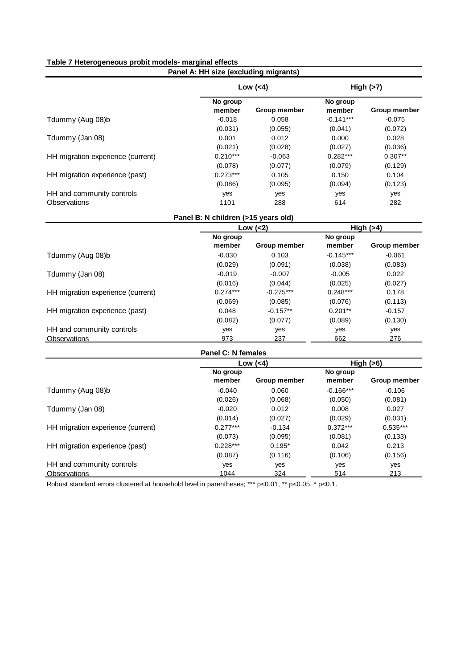## **Table 7 Heterogeneous probit models- marginal effects**

| Panel A: HH size (excluding migrants) |                    |                     |                    |                     |  |  |
|---------------------------------------|--------------------|---------------------|--------------------|---------------------|--|--|
|                                       | Low $(4)$          |                     |                    | High $(>7)$         |  |  |
|                                       | No group<br>member | <b>Group member</b> | No group<br>member | <b>Group member</b> |  |  |
| Tdummy (Aug 08)b                      | $-0.018$           | 0.058               | $-0.141***$        | $-0.075$            |  |  |
|                                       | (0.031)            | (0.055)             | (0.041)            | (0.072)             |  |  |
| Tdummy (Jan 08)                       | 0.001              | 0.012               | 0.000              | 0.028               |  |  |
|                                       | (0.021)            | (0.028)             | (0.027)            | (0.036)             |  |  |
| HH migration experience (current)     | $0.210***$         | $-0.063$            | $0.282***$         | $0.307**$           |  |  |
|                                       | (0.078)            | (0.077)             | (0.079)            | (0.129)             |  |  |
| HH migration experience (past)        | $0.273***$         | 0.105               | 0.150              | 0.104               |  |  |
|                                       | (0.086)            | (0.095)             | (0.094)            | (0.123)             |  |  |
| HH and community controls             | yes                | yes                 | yes                | yes                 |  |  |
| Observations                          | 1101               | 288                 | 614                | 282                 |  |  |

## **Panel B: N children (>15 years old)**

|                                   | Low $(2)$  |                     |             | High $(>4)$         |
|-----------------------------------|------------|---------------------|-------------|---------------------|
|                                   | No group   |                     | No group    |                     |
|                                   | member     | <b>Group member</b> | member      | <b>Group member</b> |
| Tdummy (Aug 08)b                  | $-0.030$   | 0.103               | $-0.145***$ | $-0.061$            |
|                                   | (0.029)    | (0.091)             | (0.038)     | (0.083)             |
| Tdummy (Jan 08)                   | $-0.019$   | $-0.007$            | $-0.005$    | 0.022               |
|                                   | (0.016)    | (0.044)             | (0.025)     | (0.027)             |
| HH migration experience (current) | $0.274***$ | $-0.275***$         | $0.248***$  | 0.178               |
|                                   | (0.069)    | (0.085)             | (0.076)     | (0.113)             |
| HH migration experience (past)    | 0.048      | $-0.157**$          | $0.201**$   | $-0.157$            |
|                                   | (0.082)    | (0.077)             | (0.089)     | (0.130)             |
| HH and community controls         | yes        | yes                 | yes         | yes                 |
| Observations                      | 973        | 237                 | 662         | 276                 |

## **Panel C: N females**

|                                   | Low $(4)$  |                     | High $(>6)$ |              |
|-----------------------------------|------------|---------------------|-------------|--------------|
|                                   | No group   |                     | No group    |              |
|                                   | member     | <b>Group member</b> | member      | Group member |
| Tdummy (Aug 08)b                  | $-0.040$   | 0.060               | $-0.166***$ | $-0.106$     |
|                                   | (0.026)    | (0.068)             | (0.050)     | (0.081)      |
| Tdummy (Jan 08)                   | $-0.020$   | 0.012               | 0.008       | 0.027        |
|                                   | (0.014)    | (0.027)             | (0.029)     | (0.031)      |
| HH migration experience (current) | $0.277***$ | $-0.134$            | $0.372***$  | $0.535***$   |
|                                   | (0.073)    | (0.095)             | (0.081)     | (0.133)      |
| HH migration experience (past)    | $0.228***$ | $0.195*$            | 0.042       | 0.213        |
|                                   | (0.087)    | (0.116)             | (0.106)     | (0.156)      |
| HH and community controls         | yes        | yes                 | yes         | yes          |
| Observations                      | 1044       | 324                 | 514         | 213          |

Robust standard errors clustered at household level in parentheses; \*\*\* p<0.01, \*\* p<0.05, \* p<0.1.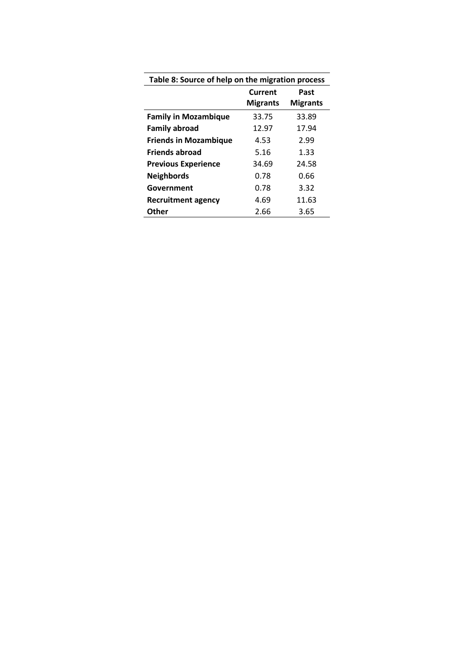|                              | Table 8: Source of help on the migration process<br>Current<br>Past |                 |  |
|------------------------------|---------------------------------------------------------------------|-----------------|--|
|                              | <b>Migrants</b>                                                     | <b>Migrants</b> |  |
| <b>Family in Mozambique</b>  | 33.75                                                               | 33.89           |  |
| <b>Family abroad</b>         | 12.97                                                               | 17.94           |  |
| <b>Friends in Mozambique</b> | 4.53                                                                | 2.99            |  |
| <b>Friends abroad</b>        | 5.16                                                                | 1.33            |  |
| <b>Previous Experience</b>   | 34.69                                                               | 24.58           |  |
| <b>Neighbords</b>            | 0.78                                                                | 0.66            |  |
| Government                   | 0.78                                                                | 3.32            |  |
| Recruitment agency           | 4.69                                                                | 11.63           |  |
| Other                        | 2.66                                                                | 3.65            |  |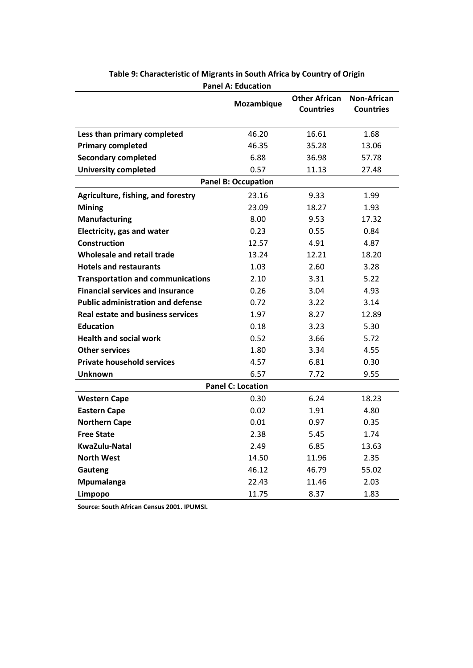| <b>Panel A: Education</b>                |                            |                                          |                                        |  |
|------------------------------------------|----------------------------|------------------------------------------|----------------------------------------|--|
|                                          | Mozambique                 | <b>Other African</b><br><b>Countries</b> | <b>Non-African</b><br><b>Countries</b> |  |
|                                          |                            |                                          |                                        |  |
| Less than primary completed              | 46.20                      | 16.61                                    | 1.68                                   |  |
| <b>Primary completed</b>                 | 46.35                      | 35.28                                    | 13.06                                  |  |
| <b>Secondary completed</b>               | 6.88                       | 36.98                                    | 57.78                                  |  |
| <b>University completed</b>              | 0.57                       | 11.13                                    | 27.48                                  |  |
|                                          | <b>Panel B: Occupation</b> |                                          |                                        |  |
| Agriculture, fishing, and forestry       | 23.16                      | 9.33                                     | 1.99                                   |  |
| <b>Mining</b>                            | 23.09                      | 18.27                                    | 1.93                                   |  |
| Manufacturing                            | 8.00                       | 9.53                                     | 17.32                                  |  |
| Electricity, gas and water               | 0.23                       | 0.55                                     | 0.84                                   |  |
| <b>Construction</b>                      | 12.57                      | 4.91                                     | 4.87                                   |  |
| Wholesale and retail trade               | 13.24                      | 12.21                                    | 18.20                                  |  |
| <b>Hotels and restaurants</b>            | 1.03                       | 2.60                                     | 3.28                                   |  |
| <b>Transportation and communications</b> | 2.10                       | 3.31                                     | 5.22                                   |  |
| <b>Financial services and insurance</b>  | 0.26                       | 3.04                                     | 4.93                                   |  |
| <b>Public administration and defense</b> | 0.72                       | 3.22                                     | 3.14                                   |  |
| <b>Real estate and business services</b> | 1.97                       | 8.27                                     | 12.89                                  |  |
| <b>Education</b>                         | 0.18                       | 3.23                                     | 5.30                                   |  |
| <b>Health and social work</b>            | 0.52                       | 3.66                                     | 5.72                                   |  |
| <b>Other services</b>                    | 1.80                       | 3.34                                     | 4.55                                   |  |
| <b>Private household services</b>        | 4.57                       | 6.81                                     | 0.30                                   |  |
| <b>Unknown</b>                           | 6.57                       | 7.72                                     | 9.55                                   |  |
| <b>Panel C: Location</b>                 |                            |                                          |                                        |  |
| <b>Western Cape</b>                      | 0.30                       | 6.24                                     | 18.23                                  |  |
| <b>Eastern Cape</b>                      | 0.02                       | 1.91                                     | 4.80                                   |  |
| <b>Northern Cape</b>                     | 0.01                       | 0.97                                     | 0.35                                   |  |
| <b>Free State</b>                        | 2.38                       | 5.45                                     | 1.74                                   |  |
| <b>KwaZulu-Natal</b>                     | 2.49                       | 6.85                                     | 13.63                                  |  |
| <b>North West</b>                        | 14.50                      | 11.96                                    | 2.35                                   |  |
| Gauteng                                  | 46.12                      | 46.79                                    | 55.02                                  |  |
| Mpumalanga                               | 22.43                      | 11.46                                    | 2.03                                   |  |
| Limpopo                                  | 11.75                      | 8.37                                     | 1.83                                   |  |

**Table 9: Characteristic of Migrants in South Africa by Country of Origin**

**Source: South African Census 2001. IPUMSI.**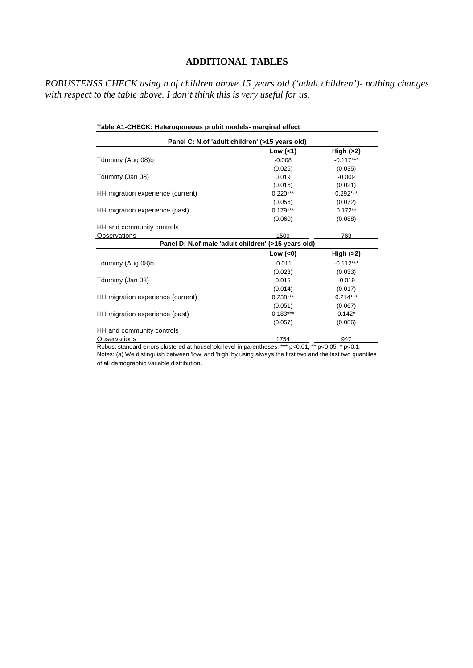## **ADDITIONAL TABLES**

*ROBUSTENSS CHECK using n.of children above 15 years old ('adult children')- nothing changes with respect to the table above. I don't think this is very useful for us.*

| Table A1-CHECK: Heterogeneous probit models- marginal effect |                                                     |             |  |  |
|--------------------------------------------------------------|-----------------------------------------------------|-------------|--|--|
|                                                              | Panel C: N.of 'adult children' (>15 years old)      |             |  |  |
|                                                              | Low $($                                             | High $(>2)$ |  |  |
| Tdummy (Aug 08)b                                             | $-0.008$                                            | $-0.117***$ |  |  |
|                                                              | (0.026)                                             | (0.035)     |  |  |
| Tdummy (Jan 08)                                              | 0.019                                               | $-0.009$    |  |  |
|                                                              | (0.016)                                             | (0.021)     |  |  |
| HH migration experience (current)                            | $0.220***$                                          | $0.292***$  |  |  |
|                                                              | (0.056)                                             | (0.072)     |  |  |
| HH migration experience (past)                               | $0.179***$                                          | $0.172**$   |  |  |
|                                                              | (0.060)                                             | (0.088)     |  |  |
| HH and community controls                                    |                                                     |             |  |  |
| Observations                                                 | 1509                                                | 763         |  |  |
|                                                              | Panel D: N.of male 'adult children' (>15 years old) |             |  |  |
|                                                              | Low $(<0)$                                          | High $(>2)$ |  |  |
| Tdummy (Aug 08)b                                             | $-0.011$                                            | $-0.112***$ |  |  |
|                                                              | (0.023)                                             | (0.033)     |  |  |
| Tdummy (Jan 08)                                              | 0.015                                               | $-0.019$    |  |  |
|                                                              | (0.014)                                             | (0.017)     |  |  |
| HH migration experience (current)                            | $0.238***$                                          | $0.214***$  |  |  |
|                                                              | (0.051)                                             | (0.067)     |  |  |
| HH migration experience (past)                               | $0.183***$                                          | $0.142*$    |  |  |
|                                                              | (0.057)                                             | (0.086)     |  |  |
| HH and community controls                                    |                                                     |             |  |  |
| Observations                                                 | 1754                                                | 947         |  |  |

Notes: (a) We distinguish between 'low' and 'high' by using always the first two and the last two quantiles of all demographic variable distribution. Robust standard errors clustered at household level in parentheses; \*\*\* p<0.01, \*\* p<0.05, \* p<0.1.